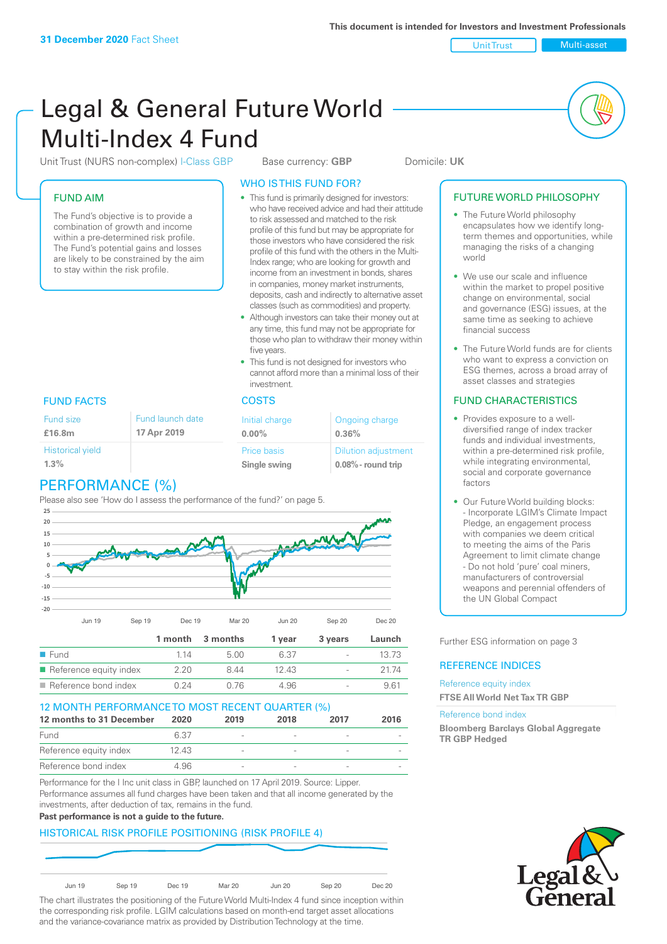Unit Trust Nulti-asset

# Legal & General Future World Multi-Index 4 Fund

Unit Trust (NURS non-complex) I-Class GBP Base currency: **GBP** Domicile: UK

# FUND AIM

The Fund's objective is to provide a combination of growth and income within a pre-determined risk profile. The Fund's potential gains and losses are likely to be constrained by the aim to stay within the risk profile.

## WHO IS THIS FUND FOR?

- This fund is primarily designed for investors: who have received advice and had their attitude to risk assessed and matched to the risk profile of this fund but may be appropriate for those investors who have considered the risk profile of this fund with the others in the Multi-Index range; who are looking for growth and income from an investment in bonds, shares in companies, money market instruments, deposits, cash and indirectly to alternative asset classes (such as commodities) and property.
- Although investors can take their money out at any time, this fund may not be appropriate for those who plan to withdraw their money within five years.
- This fund is not designed for investors who cannot afford more than a minimal loss of their investment.

## FUND FACTS COSTS

| size        | Fund launch date | Initial charge              | Ongoing charge                                      |
|-------------|------------------|-----------------------------|-----------------------------------------------------|
| łm.         | 17 Apr 2019      | $0.00\%$                    | 0.36%                                               |
| rical yield |                  | Price basis<br>Single swing | <b>Dilution adjustment</b><br>$0.08\%$ - round trip |

# Histo

Fund **£16.8m**

**1.3%**

PERFORMANCE (%)

Please also see 'How do I assess the performance of the fund?' on page 5.



# Reference equity index  $2.20 \t 8.44 \t 12.43 \t - \t 21.74$ ■ Reference bond index  $0.24$  0.76 4.96 - 9.61 12 MONTH PERFORMANCE TO MOST RECENT QUARTER (%)

| <u>IZ MUNTH FERFURMANCE IU MUST RECENT QUARTER (%)</u> |       |                          |      |      |      |
|--------------------------------------------------------|-------|--------------------------|------|------|------|
| 12 months to 31 December                               | 2020  | 2019                     | 2018 | 2017 | 2016 |
| Fund                                                   | 6.37  | $\overline{\phantom{a}}$ |      |      |      |
| Reference equity index                                 | 12.43 | $\overline{\phantom{a}}$ |      |      |      |
| Reference bond index                                   | 4.96  | $\overline{\phantom{a}}$ |      |      |      |

Performance for the I Inc unit class in GBP, launched on 17 April 2019. Source: Lipper. Performance assumes all fund charges have been taken and that all income generated by the investments, after deduction of tax, remains in the fund.

#### **Past performance is not a guide to the future.**

# HISTORICAL RISK PROFILE POSITIONING (RISK PROFILE 4)



The chart illustrates the positioning of the Future World Multi-Index 4 fund since inception within the corresponding risk profile. LGIM calculations based on month-end target asset allocations and the variance-covariance matrix as provided by Distribution Technology at the time.

## FUTURE WORLD PHILOSOPHY

- The Future World philosophy encapsulates how we identify longterm themes and opportunities, while managing the risks of a changing world
- We use our scale and influence within the market to propel positive change on environmental, social and governance (ESG) issues, at the same time as seeking to achieve financial success
- The Future World funds are for clients who want to express a conviction on ESG themes, across a broad array of asset classes and strategies

## FUND CHARACTERISTICS

- Provides exposure to a welldiversified range of index tracker funds and individual investments, within a pre-determined risk profile while integrating environmental, social and corporate governance factors
- Our Future World building blocks: - Incorporate LGIM's Climate Impact Pledge, an engagement process with companies we deem critical to meeting the aims of the Paris Agreement to limit climate change - Do not hold 'pure' coal miners, manufacturers of controversial weapons and perennial offenders of the UN Global Compact

Further ESG information on page 3

## REFERENCE INDICES

Reference equity index **FTSE All World Net Tax TR GBP**

#### Reference bond index

**Bloomberg Barclays Global Aggregate TR GBP Hedged**

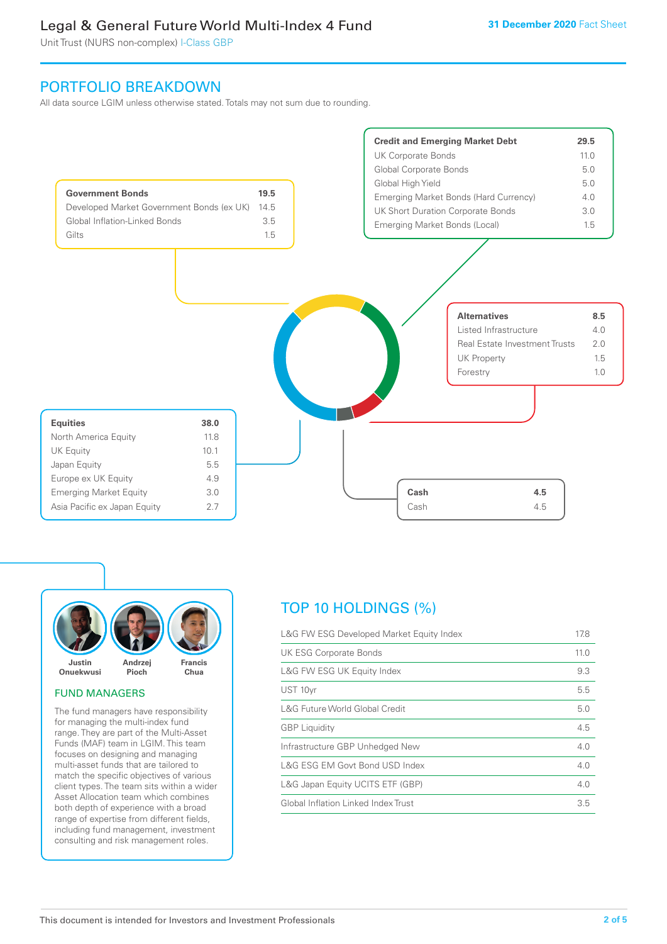Unit Trust (NURS non-complex) I-Class GBP

# PORTFOLIO BREAKDOWN

All data source LGIM unless otherwise stated. Totals may not sum due to rounding.





#### FUND MANAGERS

The fund managers have responsibility for managing the multi-index fund range. They are part of the Multi-Asset Funds (MAF) team in LGIM. This team focuses on designing and managing multi-asset funds that are tailored to match the specific objectives of various client types. The team sits within a wider Asset Allocation team which combines both depth of experience with a broad range of expertise from different fields, including fund management, investment consulting and risk management roles.

# TOP 10 HOLDINGS (%)

| L&G FW ESG Developed Market Equity Index | 17.8 |
|------------------------------------------|------|
| <b>UK ESG Corporate Bonds</b>            | 11.0 |
| L&G FW ESG UK Equity Index               | 9.3  |
| UST 10yr                                 | 5.5  |
| L&G Future World Global Credit           | 5.0  |
| <b>GBP</b> Liquidity                     | 4.5  |
| Infrastructure GBP Unhedged New          | 4.0  |
| L&G ESG EM Govt Bond USD Index           | 4.0  |
| L&G Japan Equity UCITS ETF (GBP)         | 4.0  |
| Global Inflation Linked Index Trust      | 3.5  |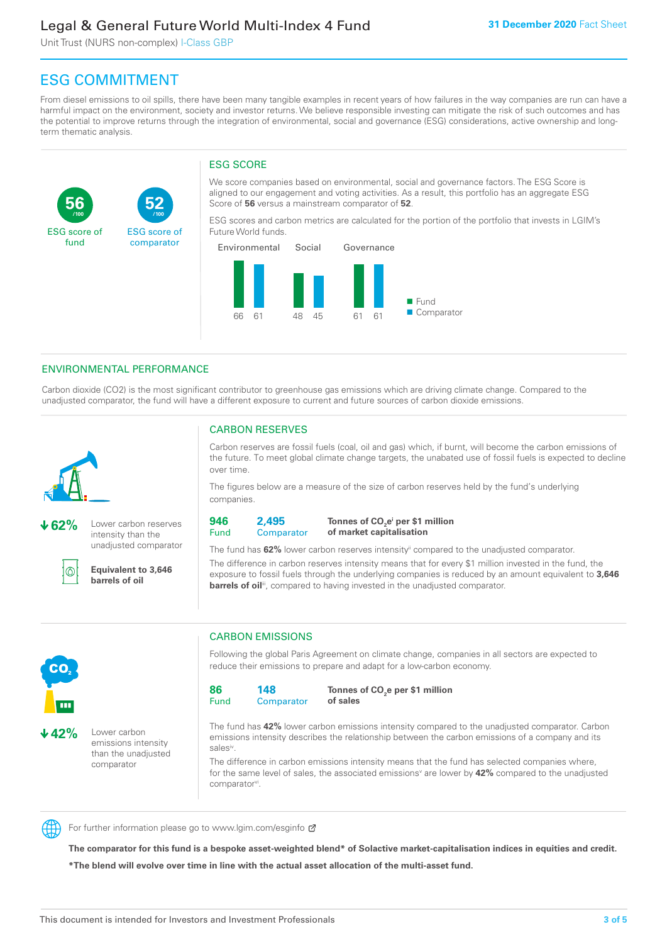Unit Trust (NURS non-complex) I-Class GBP

**52**

ESG score of comparator

# ESG COMMITMENT

**/100 /100**

From diesel emissions to oil spills, there have been many tangible examples in recent years of how failures in the way companies are run can have a harmful impact on the environment, society and investor returns. We believe responsible investing can mitigate the risk of such outcomes and has the potential to improve returns through the integration of environmental, social and governance (ESG) considerations, active ownership and longterm thematic analysis.

# ESG SCORE

We score companies based on environmental, social and governance factors. The ESG Score is aligned to our engagement and voting activities. As a result, this portfolio has an aggregate ESG Score of **56** versus a mainstream comparator of **52**.

ESG scores and carbon metrics are calculated for the portion of the portfolio that invests in LGIM's Future World funds.



## ENVIRONMENTAL PERFORMANCE

Carbon dioxide (CO2) is the most significant contributor to greenhouse gas emissions which are driving climate change. Compared to the unadjusted comparator, the fund will have a different exposure to current and future sources of carbon dioxide emissions.



**56**

ESG score of fund

**62%** Lower carbon reserves intensity than the unadjusted comparator

൘

**42%** Lower carbon

emissions intensity than the unadjusted comparator

**Equivalent to 3,646 barrels of oil**

## CARBON RESERVES

Carbon reserves are fossil fuels (coal, oil and gas) which, if burnt, will become the carbon emissions of the future. To meet global climate change targets, the unabated use of fossil fuels is expected to decline over time.

The figures below are a measure of the size of carbon reserves held by the fund's underlying companies.

**946** Fund **2,495**

**Comparator** 

**Tonnes of CO2 ei per \$1 million of market capitalisation**

The fund has **62%** lower carbon reserves intensityii compared to the unadjusted comparator. The difference in carbon reserves intensity means that for every \$1 million invested in the fund, the exposure to fossil fuels through the underlying companies is reduced by an amount equivalent to **3,646 barrels of oil**<sup>iii</sup>, compared to having invested in the unadjusted comparator.



Following the global Paris Agreement on climate change, companies in all sectors are expected to reduce their emissions to prepare and adapt for a low-carbon economy.



**Tonnes of CO2 e per \$1 million of sales**

The fund has **42%** lower carbon emissions intensity compared to the unadjusted comparator. Carbon emissions intensity describes the relationship between the carbon emissions of a company and its salesiv

The difference in carbon emissions intensity means that the fund has selected companies where, for the same level of sales, the associated emissions<sup>v</sup> are lower by **42%** compared to the unadjusted comparator<sup>vi</sup>.



CO<sub>2</sub>

For further information please go to www.lgim.com/esginfo Ø

**The comparator for this fund is a bespoke asset-weighted blend\* of Solactive market-capitalisation indices in equities and credit. \*The blend will evolve over time in line with the actual asset allocation of the multi-asset fund.**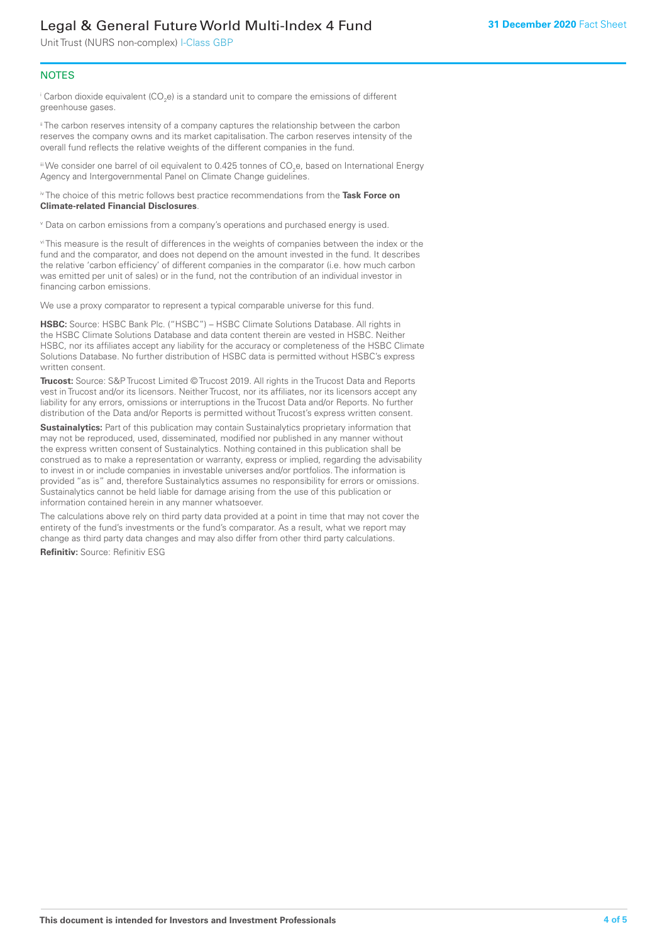Unit Trust (NURS non-complex) I-Class GBP

#### **NOTES**

 $^\mathrm{i}$  Carbon dioxide equivalent (CO<sub>2</sub>e) is a standard unit to compare the emissions of different greenhouse gases.

<sup>ii</sup> The carbon reserves intensity of a company captures the relationship between the carbon reserves the company owns and its market capitalisation. The carbon reserves intensity of the overall fund reflects the relative weights of the different companies in the fund.

iii We consider one barrel of oil equivalent to 0.425 tonnes of CO<sub>2</sub>e, based on International Energy Agency and Intergovernmental Panel on Climate Change guidelines.

#### iv The choice of this metric follows best practice recommendations from the **Task Force on Climate-related Financial Disclosures**.

v Data on carbon emissions from a company's operations and purchased energy is used.

vi This measure is the result of differences in the weights of companies between the index or the fund and the comparator, and does not depend on the amount invested in the fund. It describes the relative 'carbon efficiency' of different companies in the comparator (i.e. how much carbon was emitted per unit of sales) or in the fund, not the contribution of an individual investor in financing carbon emissions.

We use a proxy comparator to represent a typical comparable universe for this fund.

**HSBC:** Source: HSBC Bank Plc. ("HSBC") – HSBC Climate Solutions Database. All rights in the HSBC Climate Solutions Database and data content therein are vested in HSBC. Neither HSBC, nor its affiliates accept any liability for the accuracy or completeness of the HSBC Climate Solutions Database. No further distribution of HSBC data is permitted without HSBC's express written consent.

**Trucost:** Source: S&P Trucost Limited © Trucost 2019. All rights in the Trucost Data and Reports vest in Trucost and/or its licensors. Neither Trucost, nor its affiliates, nor its licensors accept any liability for any errors, omissions or interruptions in the Trucost Data and/or Reports. No further distribution of the Data and/or Reports is permitted without Trucost's express written consent.

**Sustainalytics:** Part of this publication may contain Sustainalytics proprietary information that may not be reproduced, used, disseminated, modified nor published in any manner without the express written consent of Sustainalytics. Nothing contained in this publication shall be construed as to make a representation or warranty, express or implied, regarding the advisability to invest in or include companies in investable universes and/or portfolios. The information is provided "as is" and, therefore Sustainalytics assumes no responsibility for errors or omissions. Sustainalytics cannot be held liable for damage arising from the use of this publication or information contained herein in any manner whatsoever.

The calculations above rely on third party data provided at a point in time that may not cover the entirety of the fund's investments or the fund's comparator. As a result, what we report may change as third party data changes and may also differ from other third party calculations.

**Refinitiv:** Source: Refinitiv ESG